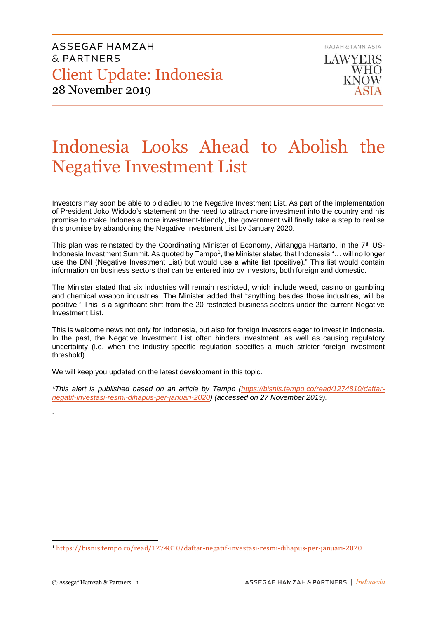ASSEGAF HAMZAH & PARTNERS Client Update: Indonesia 28 November 2019



# Indonesia Looks Ahead to Abolish the Negative Investment List

Investors may soon be able to bid adieu to the Negative Investment List. As part of the implementation of President Joko Widodo's statement on the need to attract more investment into the country and his promise to make Indonesia more investment-friendly, the government will finally take a step to realise this promise by abandoning the Negative Investment List by January 2020.

This plan was reinstated by the Coordinating Minister of Economy, Airlangga Hartarto, in the 7<sup>th</sup> US-Indonesia Investment Summit. As quoted by Tempo<sup>1</sup>, the Minister stated that Indonesia "... will no longer use the DNI (Negative Investment List) but would use a white list (positive)." This list would contain information on business sectors that can be entered into by investors, both foreign and domestic.

The Minister stated that six industries will remain restricted, which include weed, casino or gambling and chemical weapon industries. The Minister added that "anything besides those industries, will be positive." This is a significant shift from the 20 restricted business sectors under the current Negative Investment List.

This is welcome news not only for Indonesia, but also for foreign investors eager to invest in Indonesia. In the past, the Negative Investment List often hinders investment, as well as causing regulatory uncertainty (i.e. when the industry-specific regulation specifies a much stricter foreign investment threshold).

We will keep you updated on the latest development in this topic.

*\*This alert is published based on an article by Tempo [\(https://bisnis.tempo.co/read/1274810/daftar](https://bisnis.tempo.co/read/1274810/daftar-negatif-investasi-resmi-dihapus-per-januari-2020)[negatif-investasi-resmi-dihapus-per-januari-2020\)](https://bisnis.tempo.co/read/1274810/daftar-negatif-investasi-resmi-dihapus-per-januari-2020) (accessed on 27 November 2019).*

.

<sup>1</sup> <https://bisnis.tempo.co/read/1274810/daftar-negatif-investasi-resmi-dihapus-per-januari-2020>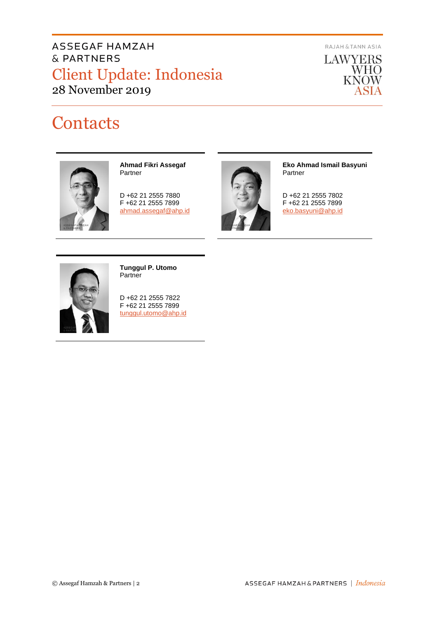# ASSEGAF HAMZAH & PARTNERS Client Update: Indonesia 28 November 2019

RAJAH & TANN ASIA



# **Contacts**



**Ahmad Fikri Assegaf** Partner

D +62 21 2555 7880 F +62 21 2555 7899 [ahmad.assegaf@ahp.id](mailto:ahmad.assegaf@ahp.id)



**Eko Ahmad Ismail Basyuni** Partner

D +62 21 2555 7802 F +62 21 2555 7899 [eko.basyuni@ahp.id](mailto:eko.basyuni@ahp.id)



**Tunggul P. Utomo** Partner

D +62 21 2555 7822 F +62 21 2555 7899 [tunggul.utomo@ahp.id](mailto:tunggul.utomo@ahp.id)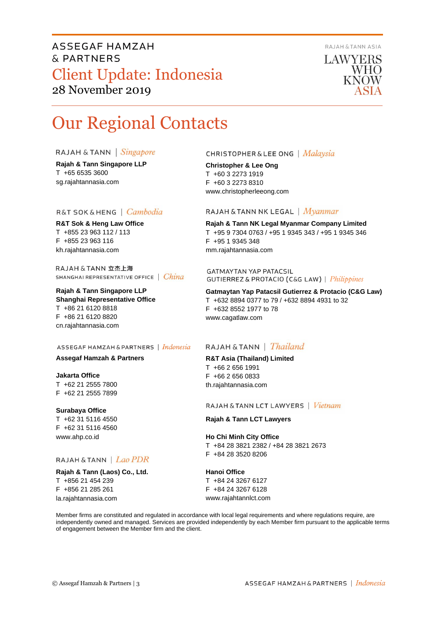## ASSEGAF HAMZAH & PARTNERS Client Update: Indonesia 28 November 2019



LAWYERS **WHO KNOW** 

# Our Regional Contacts

### RAJAH & TANN Singapore

**Rajah & Tann Singapore LLP** T +65 6535 3600 sg.rajahtannasia.com

### R&T SOK&HENG | Cambodia

**R&T Sok & Heng Law Office** T +855 23 963 112 / 113 F +855 23 963 116 kh.rajahtannasia.com

RAJAH & TANN 立杰上海 SHANGHAI REPRESENTATIVE OFFICE | China

### **Rajah & Tann Singapore LLP Shanghai Representative Office** T +86 21 6120 8818 F +86 21 6120 8820 cn.rajahtannasia.com

#### ASSEGAF HAMZAH & PARTNERS | Indonesia

**Assegaf Hamzah & Partners**

**Jakarta Office** T +62 21 2555 7800 F +62 21 2555 7899

**Surabaya Office** T +62 31 5116 4550 F +62 31 5116 4560 www.ahp.co.id

## RAJAH & TANN | Lao PDR

**Rajah & Tann (Laos) Co., Ltd.** T +856 21 454 239 F +856 21 285 261 la.rajahtannasia.com

### **CHRISTOPHER & LEE ONG** | Malaysia

**Christopher & Lee Ong** T +60 3 2273 1919 F +60 3 2273 8310 www.christopherleeong.com

#### RAJAH & TANN NK LEGAL | Myanmar

**Rajah & Tann NK Legal Myanmar Company Limited** T +95 9 7304 0763 / +95 1 9345 343 / +95 1 9345 346 F +95 1 9345 348 mm.rajahtannasia.com

**GATMAYTAN YAP PATACSIL** GUTIERREZ & PROTACIO (C&G LAW) | Philippines

**Gatmaytan Yap Patacsil Gutierrez & Protacio (C&G Law)**  T +632 8894 0377 to 79 / +632 8894 4931 to 32 F +632 8552 1977 to 78 www.cagatlaw.com

## RAJAH & TANN | *Thailand*

**R&T Asia (Thailand) Limited** T +66 2 656 1991 F +66 2 656 0833 th.rajahtannasia.com

#### RAJAH & TANN LCT LAWYERS | Vietnam

**Rajah & Tann LCT Lawyers**

**Ho Chi Minh City Office** T +84 28 3821 2382 / +84 28 3821 2673 F +84 28 3520 8206

#### **Hanoi Office**

T +84 24 3267 6127 F +84 24 3267 6128 www.rajahtannlct.com

Member firms are constituted and regulated in accordance with local legal requirements and where regulations require, are independently owned and managed. Services are provided independently by each Member firm pursuant to the applicable terms of engagement between the Member firm and the client.